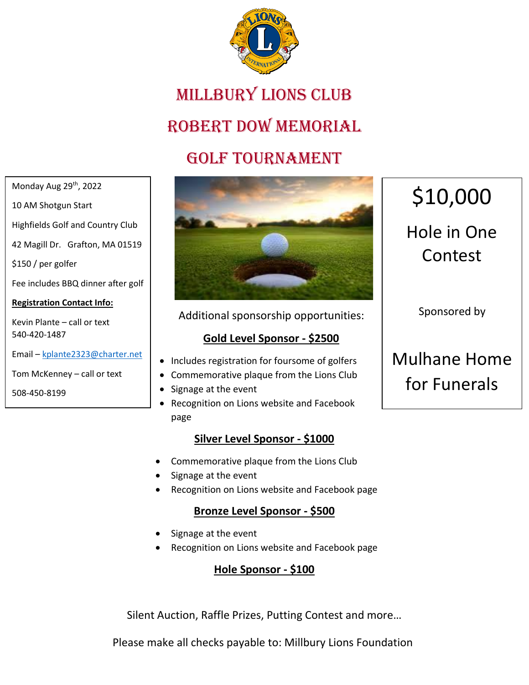

# Millbury Lions Club

### ROBERT DOW MEMORIAL

### Golf Tournament

Monday Aug 29<sup>th</sup>, 2022

10 AM Shotgun Start

Highfields Golf and Country Club

42 Magill Dr. Grafton, MA 01519

\$150 / per golfer

Fee includes BBQ dinner after golf

#### **Registration Contact Info:**

Kevin Plante – call or text 540-420-1487

Email – kplante2323@charter.net

Tom McKenney – call or text

508-450-8199



Additional sponsorship opportunities:

#### **Gold Level Sponsor - \$2500**

- Includes registration for foursome of golfers
- Commemorative plaque from the Lions Club
- Signage at the event
- Recognition on Lions website and Facebook page

#### **Silver Level Sponsor - \$1000**

- Commemorative plaque from the Lions Club
- Signage at the event
- Recognition on Lions website and Facebook page

#### **Bronze Level Sponsor - \$500**

- Signage at the event
- Recognition on Lions website and Facebook page

#### **Hole Sponsor - \$100**

Silent Auction, Raffle Prizes, Putting Contest and more…

Please make all checks payable to: Millbury Lions Foundation

# \$10,000

# Hole in One Contest

Sponsored by

# Mulhane Home for Funerals